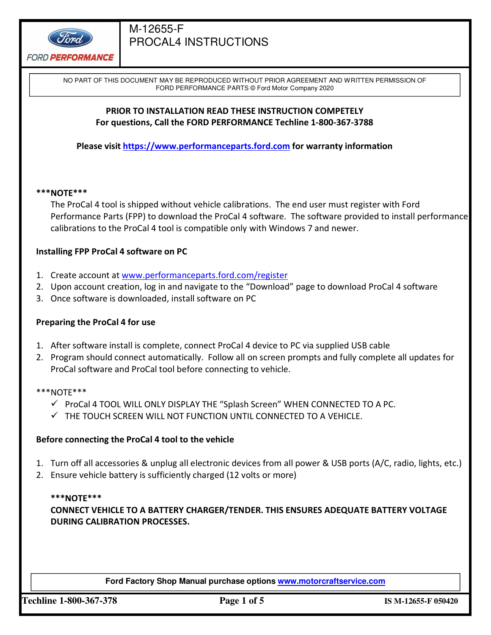

NO PART OF THIS DOCUMENT MAY BE REPRODUCED WITHOUT PRIOR AGREEMENT AND WRITTEN PERMISSION OF FORD PERFORMANCE PARTS © Ford Motor Company 2020

### **PRIOR TO INSTALLATION READ THESE INSTRUCTION COMPETELY For questions, Call the FORD PERFORMANCE Techline 1-800-367-3788**

**Please visit https://www.performanceparts.ford.com for warranty information** 

### **\*\*\*NOTE\*\*\***

The ProCal 4 tool is shipped without vehicle calibrations. The end user must register with Ford Performance Parts (FPP) to download the ProCal 4 software. The software provided to install performance calibrations to the ProCal 4 tool is compatible only with Windows 7 and newer.

## **Installing FPP ProCal 4 software on PC**

- 1. Create account at www.performanceparts.ford.com/register
- 2. Upon account creation, log in and navigate to the "Download" page to download ProCal 4 software
- 3. Once software is downloaded, install software on PC

## **Preparing the ProCal 4 for use**

- 1. After software install is complete, connect ProCal 4 device to PC via supplied USB cable
- 2. Program should connect automatically. Follow all on screen prompts and fully complete all updates for ProCal software and ProCal tool before connecting to vehicle.
- \*\*\*NOTE\*\*\*
	- $\checkmark$  ProCal 4 TOOL WILL ONLY DISPLAY THE "Splash Screen" WHEN CONNECTED TO A PC.
	- $\checkmark$  THE TOUCH SCREEN WILL NOT FUNCTION UNTIL CONNECTED TO A VEHICLE.

### **Before connecting the ProCal 4 tool to the vehicle**

- 1. Turn off all accessories & unplug all electronic devices from all power & USB ports (A/C, radio, lights, etc.)
- 2. Ensure vehicle battery is sufficiently charged (12 volts or more)

### **\*\*\*NOTE\*\*\***

**CONNECT VEHICLE TO A BATTERY CHARGER/TENDER. THIS ENSURES ADEQUATE BATTERY VOLTAGE DURING CALIBRATION PROCESSES.** 

**Ford Factory Shop Manual purchase options www.motorcraftservice.com** 

**Techline 1-800-367-378 Page 1 of 5 IS M-12655-F 050420**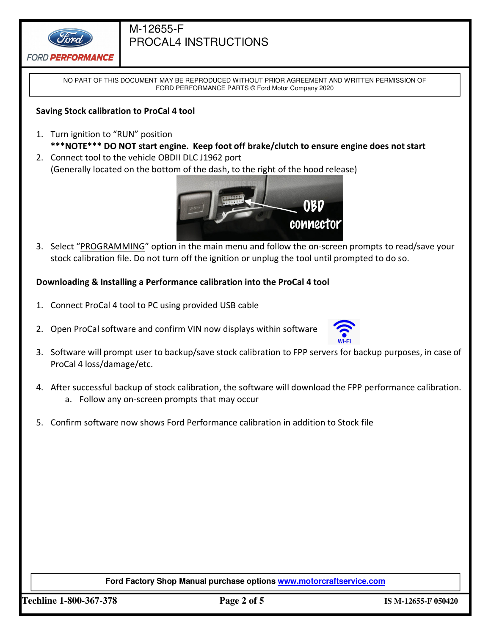

NO PART OF THIS DOCUMENT MAY BE REPRODUCED WITHOUT PRIOR AGREEMENT AND WRITTEN PERMISSION OF FORD PERFORMANCE PARTS © Ford Motor Company 2020

### **Saving Stock calibration to ProCal 4 tool**

- 1. Turn ignition to "RUN" position **\*\*\*NOTE\*\*\* DO NOT start engine. Keep foot off brake/clutch to ensure engine does not start**
- 2. Connect tool to the vehicle OBDII DLC J1962 port (Generally located on the bottom of the dash, to the right of the hood release)



3. Select "PROGRAMMING" option in the main menu and follow the on-screen prompts to read/save your stock calibration file. Do not turn off the ignition or unplug the tool until prompted to do so.

### **Downloading & Installing a Performance calibration into the ProCal 4 tool**

- 1. Connect ProCal 4 tool to PC using provided USB cable
- 2. Open ProCal software and confirm VIN now displays within software



- 3. Software will prompt user to backup/save stock calibration to FPP servers for backup purposes, in case of ProCal 4 loss/damage/etc.
- 4. After successful backup of stock calibration, the software will download the FPP performance calibration. a. Follow any on-screen prompts that may occur
- 5. Confirm software now shows Ford Performance calibration in addition to Stock file

### **Ford Factory Shop Manual purchase options www.motorcraftservice.com**

**Techline 1-800-367-378 Page 2 of 5 IS M-12655-F 050420**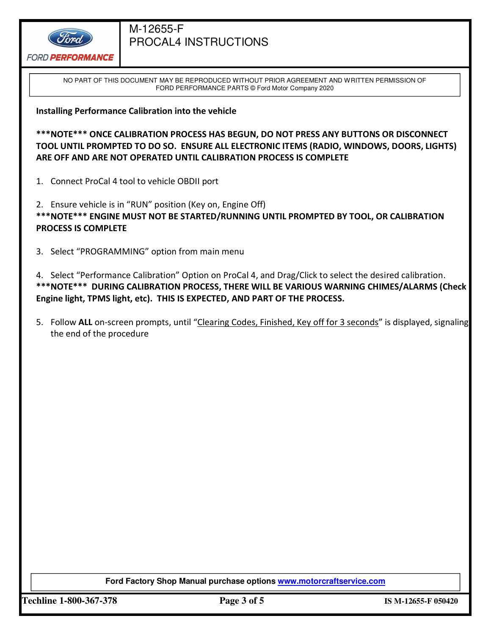

NO PART OF THIS DOCUMENT MAY BE REPRODUCED WITHOUT PRIOR AGREEMENT AND WRITTEN PERMISSION OF FORD PERFORMANCE PARTS © Ford Motor Company 2020

**Installing Performance Calibration into the vehicle**

**\*\*\*NOTE\*\*\* ONCE CALIBRATION PROCESS HAS BEGUN, DO NOT PRESS ANY BUTTONS OR DISCONNECT TOOL UNTIL PROMPTED TO DO SO. ENSURE ALL ELECTRONIC ITEMS (RADIO, WINDOWS, DOORS, LIGHTS) ARE OFF AND ARE NOT OPERATED UNTIL CALIBRATION PROCESS IS COMPLETE** 

1. Connect ProCal 4 tool to vehicle OBDII port

2. Ensure vehicle is in "RUN" position (Key on, Engine Off) **\*\*\*NOTE\*\*\* ENGINE MUST NOT BE STARTED/RUNNING UNTIL PROMPTED BY TOOL, OR CALIBRATION PROCESS IS COMPLETE** 

3. Select "PROGRAMMING" option from main menu

4. Select "Performance Calibration" Option on ProCal 4, and Drag/Click to select the desired calibration. **\*\*\*NOTE\*\*\* DURING CALIBRATION PROCESS, THERE WILL BE VARIOUS WARNING CHIMES/ALARMS (Check Engine light, TPMS light, etc). THIS IS EXPECTED, AND PART OF THE PROCESS.** 

5. Follow ALL on-screen prompts, until "Clearing Codes, Finished, Key off for 3 seconds" is displayed, signaling the end of the procedure

**Ford Factory Shop Manual purchase options www.motorcraftservice.com** 

**Techline 1-800-367-378 Page 3 of 5 IS M-12655-F 050420**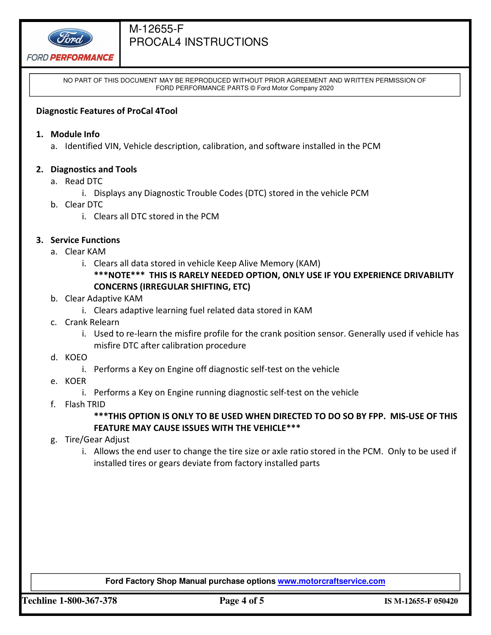

**FORD PERFORMANCE** 

NO PART OF THIS DOCUMENT MAY BE REPRODUCED WITHOUT PRIOR AGREEMENT AND WRITTEN PERMISSION OF FORD PERFORMANCE PARTS © Ford Motor Company 2020

### **Diagnostic Features of ProCal 4Tool**

- **1. Module Info** 
	- a. Identified VIN, Vehicle description, calibration, and software installed in the PCM

### **2. Diagnostics and Tools**

- a. Read DTC
	- i. Displays any Diagnostic Trouble Codes (DTC) stored in the vehicle PCM
- b. Clear DTC
	- i. Clears all DTC stored in the PCM
- **3. Service Functions** 
	- a. Clear KAM
		- i. Clears all data stored in vehicle Keep Alive Memory (KAM) **\*\*\*NOTE\*\*\* THIS IS RARELY NEEDED OPTION, ONLY USE IF YOU EXPERIENCE DRIVABILITY CONCERNS (IRREGULAR SHIFTING, ETC)**
	- b. Clear Adaptive KAM
		- i. Clears adaptive learning fuel related data stored in KAM
	- c. Crank Relearn
		- i. Used to re-learn the misfire profile for the crank position sensor. Generally used if vehicle has misfire DTC after calibration procedure
	- d. KOEO
		- i. Performs a Key on Engine off diagnostic self-test on the vehicle
	- e. KOER
		- i. Performs a Key on Engine running diagnostic self-test on the vehicle
	- f. Flash TRID

### **\*\*\*THIS OPTION IS ONLY TO BE USED WHEN DIRECTED TO DO SO BY FPP. MIS-USE OF THIS FEATURE MAY CAUSE ISSUES WITH THE VEHICLE\*\*\***

- g. Tire/Gear Adjust
	- i. Allows the end user to change the tire size or axle ratio stored in the PCM. Only to be used if installed tires or gears deviate from factory installed parts

#### **Ford Factory Shop Manual purchase options www.motorcraftservice.com**

**Techline 1-800-367-378 Page 4 of 5 IS M-12655-F 050420**